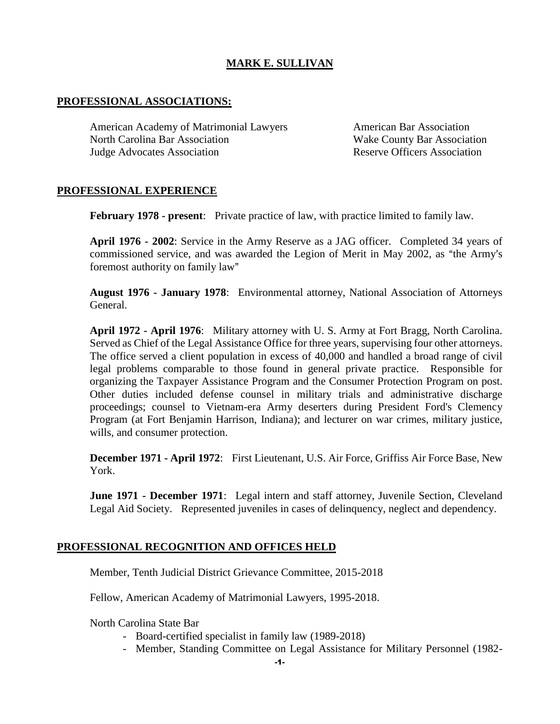# **MARK E. SULLIVAN**

# **PROFESSIONAL ASSOCIATIONS:**

American Academy of Matrimonial Lawyers **American Bar Association** North Carolina Bar Association Wake County Bar Association Judge Advocates Association Reserve Officers Association

# **PROFESSIONAL EXPERIENCE**

**February 1978 - present**: Private practice of law, with practice limited to family law.

**April 1976 - 2002**: Service in the Army Reserve as a JAG officer. Completed 34 years of commissioned service, and was awarded the Legion of Merit in May 2002, as "the Army's foremost authority on family law"

**August 1976 - January 1978**: Environmental attorney, National Association of Attorneys General.

**April 1972 - April 1976**: Military attorney with U. S. Army at Fort Bragg, North Carolina. Served as Chief of the Legal Assistance Office for three years, supervising four other attorneys. The office served a client population in excess of 40,000 and handled a broad range of civil legal problems comparable to those found in general private practice. Responsible for organizing the Taxpayer Assistance Program and the Consumer Protection Program on post. Other duties included defense counsel in military trials and administrative discharge proceedings; counsel to Vietnam-era Army deserters during President Ford's Clemency Program (at Fort Benjamin Harrison, Indiana); and lecturer on war crimes, military justice, wills, and consumer protection.

**December 1971 - April 1972**: First Lieutenant, U.S. Air Force, Griffiss Air Force Base, New York.

**June 1971 - December 1971**: Legal intern and staff attorney, Juvenile Section, Cleveland Legal Aid Society. Represented juveniles in cases of delinquency, neglect and dependency.

## **PROFESSIONAL RECOGNITION AND OFFICES HELD**

Member, Tenth Judicial District Grievance Committee, 2015-2018

Fellow, American Academy of Matrimonial Lawyers, 1995-2018.

North Carolina State Bar

- Board-certified specialist in family law (1989-2018)
- Member, Standing Committee on Legal Assistance for Military Personnel (1982-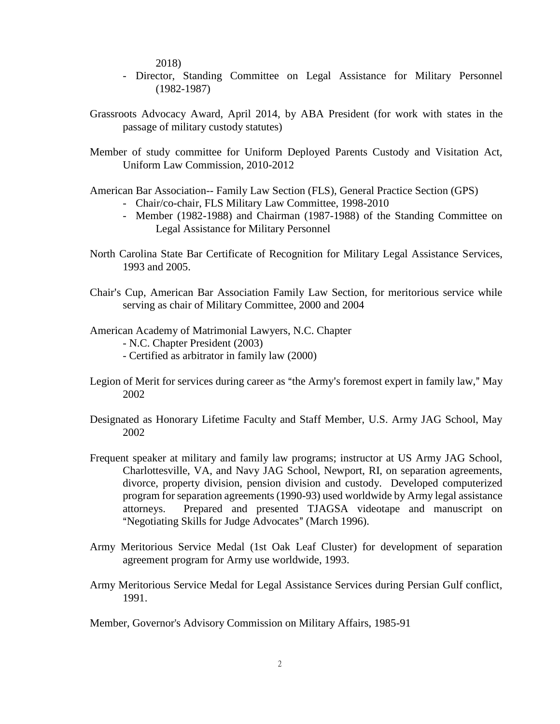2018)

- Director, Standing Committee on Legal Assistance for Military Personnel (1982-1987)
- Grassroots Advocacy Award, April 2014, by ABA President (for work with states in the passage of military custody statutes)
- Member of study committee for Uniform Deployed Parents Custody and Visitation Act, Uniform Law Commission, 2010-2012
- American Bar Association-- Family Law Section (FLS), General Practice Section (GPS)
	- Chair/co-chair, FLS Military Law Committee, 1998-2010
	- Member (1982-1988) and Chairman (1987-1988) of the Standing Committee on Legal Assistance for Military Personnel
- North Carolina State Bar Certificate of Recognition for Military Legal Assistance Services, 1993 and 2005.
- Chair's Cup, American Bar Association Family Law Section, for meritorious service while serving as chair of Military Committee, 2000 and 2004
- American Academy of Matrimonial Lawyers, N.C. Chapter

- N.C. Chapter President (2003)

- Certified as arbitrator in family law (2000)
- Legion of Merit for services during career as "the Army's foremost expert in family law," May 2002
- Designated as Honorary Lifetime Faculty and Staff Member, U.S. Army JAG School, May 2002
- Frequent speaker at military and family law programs; instructor at US Army JAG School, Charlottesville, VA, and Navy JAG School, Newport, RI, on separation agreements, divorce, property division, pension division and custody. Developed computerized program for separation agreements (1990-93) used worldwide by Army legal assistance attorneys. Prepared and presented TJAGSA videotape and manuscript on "Negotiating Skills for Judge Advocates" (March 1996).
- Army Meritorious Service Medal (1st Oak Leaf Cluster) for development of separation agreement program for Army use worldwide, 1993.
- Army Meritorious Service Medal for Legal Assistance Services during Persian Gulf conflict, 1991.

Member, Governor's Advisory Commission on Military Affairs, 1985-91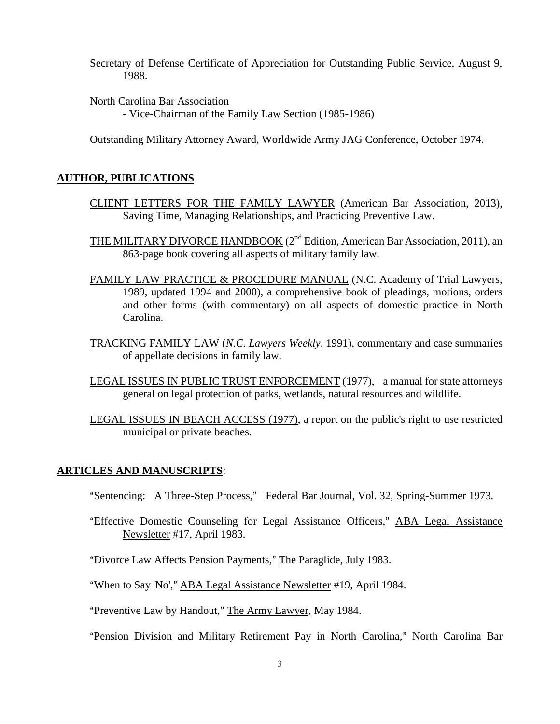Secretary of Defense Certificate of Appreciation for Outstanding Public Service, August 9, 1988.

North Carolina Bar Association - Vice-Chairman of the Family Law Section (1985-1986)

Outstanding Military Attorney Award, Worldwide Army JAG Conference, October 1974.

## **AUTHOR, PUBLICATIONS**

- CLIENT LETTERS FOR THE FAMILY LAWYER (American Bar Association, 2013), Saving Time, Managing Relationships, and Practicing Preventive Law.
- THE MILITARY DIVORCE HANDBOOK (2<sup>nd</sup> Edition, American Bar Association, 2011), an 863-page book covering all aspects of military family law.
- FAMILY LAW PRACTICE & PROCEDURE MANUAL (N.C. Academy of Trial Lawyers, 1989, updated 1994 and 2000), a comprehensive book of pleadings, motions, orders and other forms (with commentary) on all aspects of domestic practice in North Carolina.
- TRACKING FAMILY LAW (*N.C. Lawyers Weekly*, 1991), commentary and case summaries of appellate decisions in family law.
- LEGAL ISSUES IN PUBLIC TRUST ENFORCEMENT (1977), a manual for state attorneys general on legal protection of parks, wetlands, natural resources and wildlife.
- LEGAL ISSUES IN BEACH ACCESS (1977), a report on the public's right to use restricted municipal or private beaches.

#### **ARTICLES AND MANUSCRIPTS**:

"Sentencing: A Three-Step Process," Federal Bar Journal, Vol. 32, Spring-Summer 1973.

"Effective Domestic Counseling for Legal Assistance Officers," ABA Legal Assistance Newsletter #17, April 1983.

"Divorce Law Affects Pension Payments," The Paraglide, July 1983.

"When to Say 'No'," ABA Legal Assistance Newsletter #19, April 1984.

"Preventive Law by Handout," The Army Lawyer, May 1984.

"Pension Division and Military Retirement Pay in North Carolina," North Carolina Bar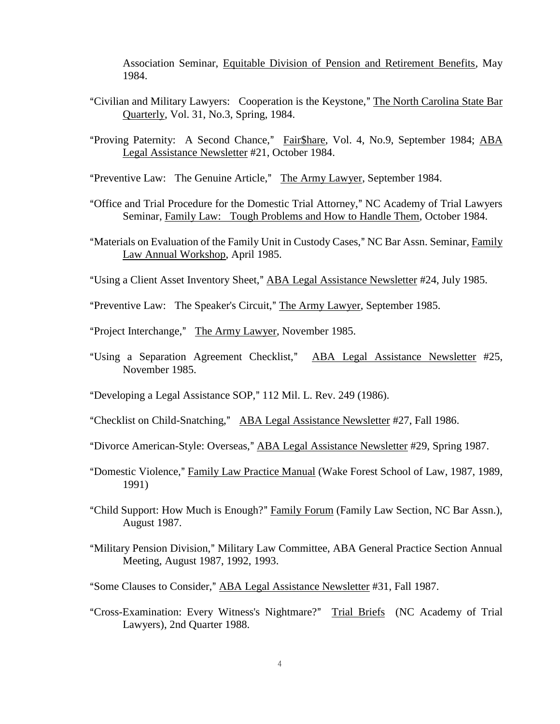Association Seminar, Equitable Division of Pension and Retirement Benefits, May 1984.

- "Civilian and Military Lawyers: Cooperation is the Keystone," The North Carolina State Bar Quarterly, Vol. 31, No.3, Spring, 1984.
- "Proving Paternity: A Second Chance," Fair\$hare, Vol. 4, No.9, September 1984; ABA Legal Assistance Newsletter #21, October 1984.
- "Preventive Law: The Genuine Article," The Army Lawyer, September 1984.
- "Office and Trial Procedure for the Domestic Trial Attorney," NC Academy of Trial Lawyers Seminar, Family Law: Tough Problems and How to Handle Them, October 1984.
- "Materials on Evaluation of the Family Unit in Custody Cases," NC Bar Assn. Seminar, Family Law Annual Workshop, April 1985.
- "Using a Client Asset Inventory Sheet," ABA Legal Assistance Newsletter #24, July 1985.
- "Preventive Law: The Speaker's Circuit," The Army Lawyer, September 1985.
- "Project Interchange," The Army Lawyer, November 1985.
- "Using a Separation Agreement Checklist," ABA Legal Assistance Newsletter #25, November 1985.
- "Developing a Legal Assistance SOP," 112 Mil. L. Rev. 249 (1986).
- "Checklist on Child-Snatching," ABA Legal Assistance Newsletter #27, Fall 1986.
- "Divorce American-Style: Overseas," ABA Legal Assistance Newsletter #29, Spring 1987.
- "Domestic Violence," Family Law Practice Manual (Wake Forest School of Law, 1987, 1989, 1991)
- "Child Support: How Much is Enough?" Family Forum (Family Law Section, NC Bar Assn.), August 1987.
- "Military Pension Division," Military Law Committee, ABA General Practice Section Annual Meeting, August 1987, 1992, 1993.
- "Some Clauses to Consider," ABA Legal Assistance Newsletter #31, Fall 1987.
- "Cross-Examination: Every Witness's Nightmare?" Trial Briefs (NC Academy of Trial Lawyers), 2nd Quarter 1988.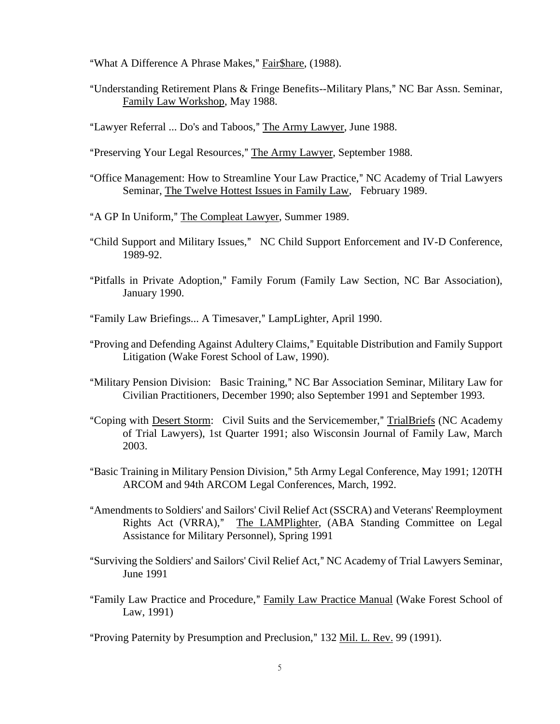"What A Difference A Phrase Makes," Fair \$hare, (1988).

- "Understanding Retirement Plans & Fringe Benefits--Military Plans," NC Bar Assn. Seminar, Family Law Workshop, May 1988.
- "Lawyer Referral ... Do's and Taboos," The Army Lawyer, June 1988.
- "Preserving Your Legal Resources," The Army Lawyer, September 1988.
- "Office Management: How to Streamline Your Law Practice," NC Academy of Trial Lawyers Seminar, The Twelve Hottest Issues in Family Law, February 1989.
- "A GP In Uniform," The Compleat Lawyer, Summer 1989.
- "Child Support and Military Issues," NC Child Support Enforcement and IV-D Conference, 1989-92.
- "Pitfalls in Private Adoption," Family Forum (Family Law Section, NC Bar Association), January 1990.

"Family Law Briefings... A Timesaver," LampLighter, April 1990.

- "Proving and Defending Against Adultery Claims," Equitable Distribution and Family Support Litigation (Wake Forest School of Law, 1990).
- "Military Pension Division: Basic Training," NC Bar Association Seminar, Military Law for Civilian Practitioners, December 1990; also September 1991 and September 1993.
- "Coping with Desert Storm: Civil Suits and the Servicemember," TrialBriefs (NC Academy of Trial Lawyers), 1st Quarter 1991; also Wisconsin Journal of Family Law, March 2003.
- "Basic Training in Military Pension Division," 5th Army Legal Conference, May 1991; 120TH ARCOM and 94th ARCOM Legal Conferences, March, 1992.
- "Amendments to Soldiers' and Sailors' Civil Relief Act (SSCRA) and Veterans' Reemployment Rights Act (VRRA)," The LAMPlighter, (ABA Standing Committee on Legal Assistance for Military Personnel), Spring 1991
- "Surviving the Soldiers' and Sailors' Civil Relief Act," NC Academy of Trial Lawyers Seminar, June 1991
- "Family Law Practice and Procedure," Family Law Practice Manual (Wake Forest School of Law, 1991)

"Proving Paternity by Presumption and Preclusion," 132 Mil. L. Rev. 99 (1991).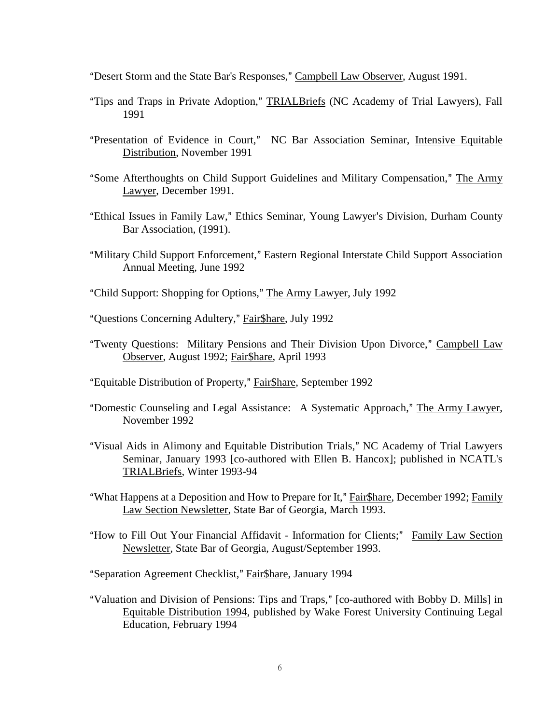"Desert Storm and the State Bar's Responses," Campbell Law Observer, August 1991.

- "Tips and Traps in Private Adoption," TRIALBriefs (NC Academy of Trial Lawyers), Fall 1991
- "Presentation of Evidence in Court," NC Bar Association Seminar, Intensive Equitable Distribution, November 1991
- "Some Afterthoughts on Child Support Guidelines and Military Compensation," The Army Lawyer, December 1991.
- "Ethical Issues in Family Law," Ethics Seminar, Young Lawyer's Division, Durham County Bar Association, (1991).
- "Military Child Support Enforcement," Eastern Regional Interstate Child Support Association Annual Meeting, June 1992
- "Child Support: Shopping for Options," The Army Lawyer, July 1992
- "Questions Concerning Adultery," Fair\$hare, July 1992
- "Twenty Questions: Military Pensions and Their Division Upon Divorce," Campbell Law Observer, August 1992; Fair\$hare, April 1993
- "Equitable Distribution of Property," Fair\$hare, September 1992
- "Domestic Counseling and Legal Assistance: A Systematic Approach," The Army Lawyer, November 1992
- "Visual Aids in Alimony and Equitable Distribution Trials," NC Academy of Trial Lawyers Seminar, January 1993 [co-authored with Ellen B. Hancox]; published in NCATL's TRIALBriefs, Winter 1993-94
- "What Happens at a Deposition and How to Prepare for It," Fair\$hare, December 1992; Family Law Section Newsletter, State Bar of Georgia, March 1993.
- "How to Fill Out Your Financial Affidavit Information for Clients;" Family Law Section Newsletter, State Bar of Georgia, August/September 1993.
- "Separation Agreement Checklist," Fair \$hare, January 1994
- "Valuation and Division of Pensions: Tips and Traps," [co-authored with Bobby D. Mills] in Equitable Distribution 1994, published by Wake Forest University Continuing Legal Education, February 1994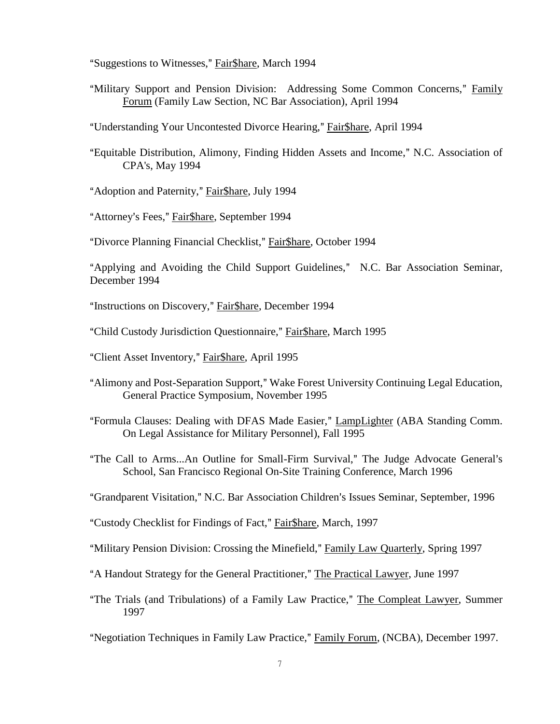"Suggestions to Witnesses," Fair\$hare, March 1994

- "Military Support and Pension Division: Addressing Some Common Concerns," Family Forum (Family Law Section, NC Bar Association), April 1994
- "Understanding Your Uncontested Divorce Hearing," Fair\$hare, April 1994
- "Equitable Distribution, Alimony, Finding Hidden Assets and Income," N.C. Association of CPA's, May 1994
- "Adoption and Paternity," Fair\$hare, July 1994
- "Attorney's Fees," Fair\$hare, September 1994
- "Divorce Planning Financial Checklist," Fair\$hare, October 1994

"Applying and Avoiding the Child Support Guidelines," N.C. Bar Association Seminar, December 1994

"Instructions on Discovery," Fair Share, December 1994

- "Child Custody Jurisdiction Questionnaire," Fair\$hare, March 1995
- "Client Asset Inventory," Fair\$hare, April 1995
- "Alimony and Post-Separation Support," Wake Forest University Continuing Legal Education, General Practice Symposium, November 1995
- "Formula Clauses: Dealing with DFAS Made Easier," LampLighter (ABA Standing Comm. On Legal Assistance for Military Personnel), Fall 1995
- "The Call to Arms...An Outline for Small-Firm Survival," The Judge Advocate General's School, San Francisco Regional On-Site Training Conference, March 1996
- "Grandparent Visitation," N.C. Bar Association Children's Issues Seminar, September, 1996
- "Custody Checklist for Findings of Fact," Fair\$hare, March, 1997
- "Military Pension Division: Crossing the Minefield," Family Law Quarterly, Spring 1997
- "A Handout Strategy for the General Practitioner," The Practical Lawyer, June 1997
- "The Trials (and Tribulations) of a Family Law Practice," The Compleat Lawyer, Summer 1997
- "Negotiation Techniques in Family Law Practice," Family Forum, (NCBA), December 1997.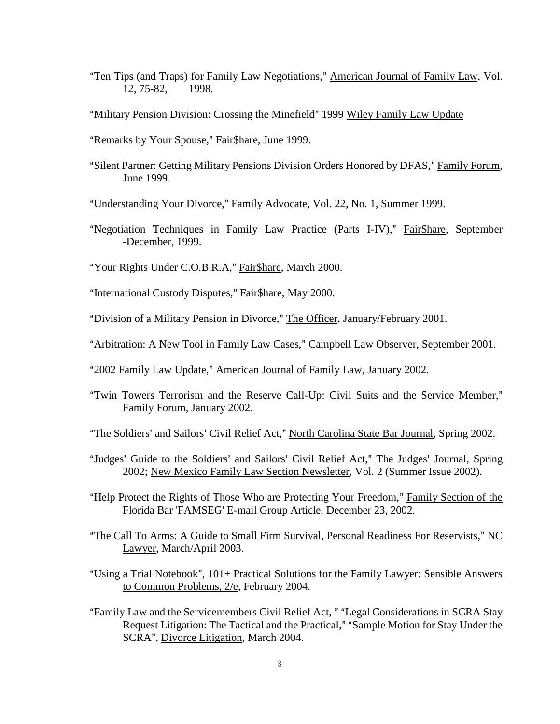"Ten Tips (and Traps) for Family Law Negotiations," American Journal of Family Law, Vol. 12, 75-82, 1998.

"Military Pension Division: Crossing the Minefield" 1999 Wiley Family Law Update

"Remarks by Your Spouse," Fair\$hare, June 1999.

"Silent Partner: Getting Military Pensions Division Orders Honored by DFAS," Family Forum, June 1999.

"Understanding Your Divorce," Family Advocate, Vol. 22, No. 1, Summer 1999.

"Negotiation Techniques in Family Law Practice (Parts I-IV)," Fair\$hare, September -December, 1999.

"Your Rights Under C.O.B.R.A," Fair\$hare, March 2000.

"International Custody Disputes," Fair\$hare, May 2000.

"Division of a Military Pension in Divorce," The Officer, January/February 2001.

"Arbitration: A New Tool in Family Law Cases," Campbell Law Observer, September 2001.

"2002 Family Law Update," American Journal of Family Law, January 2002.

"Twin Towers Terrorism and the Reserve Call-Up: Civil Suits and the Service Member," Family Forum, January 2002.

"The Soldiers' and Sailors' Civil Relief Act," North Carolina State Bar Journal, Spring 2002.

- "Judges' Guide to the Soldiers' and Sailors' Civil Relief Act," The Judges' Journal, Spring 2002; New Mexico Family Law Section Newsletter, Vol. 2 (Summer Issue 2002).
- "Help Protect the Rights of Those Who are Protecting Your Freedom," Family Section of the Florida Bar 'FAMSEG' E-mail Group Article, December 23, 2002.
- "The Call To Arms: A Guide to Small Firm Survival, Personal Readiness For Reservists," NC Lawyer, March/April 2003.
- "Using a Trial Notebook",  $101+$  Practical Solutions for the Family Lawyer: Sensible Answers to Common Problems, 2/e, February 2004.
- "Family Law and the Servicemembers Civil Relief Act, " "Legal Considerations in SCRA Stay Request Litigation: The Tactical and the Practical," "Sample Motion for Stay Under the SCRA", Divorce Litigation, March 2004.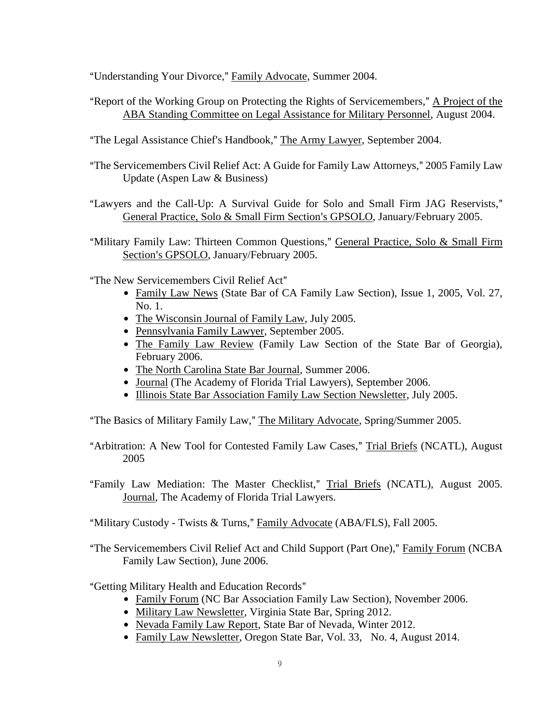"Understanding Your Divorce," Family Advocate, Summer 2004.

- "Report of the Working Group on Protecting the Rights of Servicemembers," A Project of the ABA Standing Committee on Legal Assistance for Military Personnel, August 2004.
- "The Legal Assistance Chief's Handbook," The Army Lawyer, September 2004.
- "The Servicemembers Civil Relief Act: A Guide for Family Law Attorneys," 2005 Family Law Update (Aspen Law & Business)
- "Lawyers and the Call-Up: A Survival Guide for Solo and Small Firm JAG Reservists," General Practice, Solo & Small Firm Section's GPSOLO, January/February 2005.
- "Military Family Law: Thirteen Common Ouestions," General Practice, Solo & Small Firm Section's GPSOLO, January/February 2005.

"The New Servicemembers Civil Relief Act"

- Family Law News (State Bar of CA Family Law Section), Issue 1, 2005, Vol. 27, No. 1.
- The Wisconsin Journal of Family Law, July 2005.
- Pennsylvania Family Lawyer, September 2005.
- The Family Law Review (Family Law Section of the State Bar of Georgia), February 2006.
- The North Carolina State Bar Journal, Summer 2006.
- Journal (The Academy of Florida Trial Lawyers), September 2006.
- Illinois State Bar Association Family Law Section Newsletter, July 2005.

"The Basics of Military Family Law," The Military Advocate, Spring/Summer 2005.

- "Arbitration: A New Tool for Contested Family Law Cases," Trial Briefs (NCATL), August 2005
- "Family Law Mediation: The Master Checklist," Trial Briefs (NCATL), August 2005. Journal, The Academy of Florida Trial Lawyers.
- "Military Custody Twists & Turns," Family Advocate (ABA/FLS), Fall 2005.
- "The Servicemembers Civil Relief Act and Child Support (Part One)," Family Forum (NCBA Family Law Section), June 2006.

"Getting Military Health and Education Records"

- Family Forum (NC Bar Association Family Law Section), November 2006.
- Military Law Newsletter, Virginia State Bar, Spring 2012.
- Nevada Family Law Report, State Bar of Nevada, Winter 2012.
- Family Law Newsletter, Oregon State Bar, Vol. 33, No. 4, August 2014.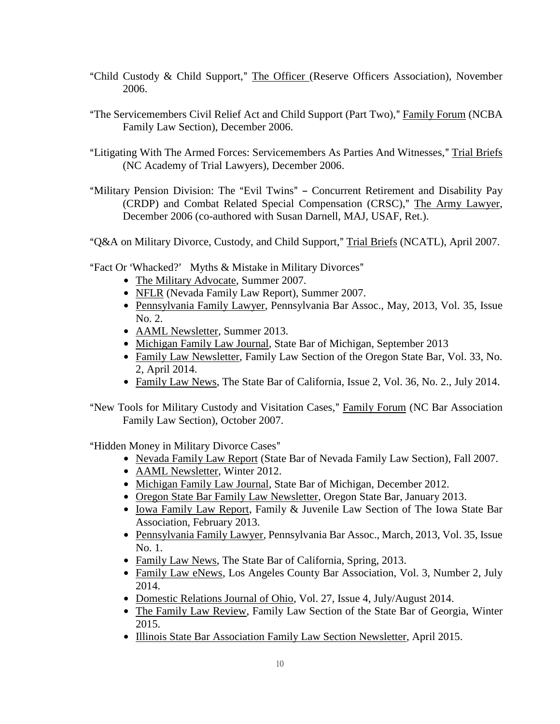- "Child Custody & Child Support," The Officer (Reserve Officers Association), November 2006.
- "The Servicemembers Civil Relief Act and Child Support (Part Two)," Family Forum (NCBA Family Law Section), December 2006.
- "Litigating With The Armed Forces: Servicemembers As Parties And Witnesses," Trial Briefs (NC Academy of Trial Lawyers), December 2006.
- "Military Pension Division: The "Evil Twins" Concurrent Retirement and Disability Pay (CRDP) and Combat Related Special Compensation (CRSC)," The Army Lawyer, December 2006 (co-authored with Susan Darnell, MAJ, USAF, Ret.).

"Q&A on Military Divorce, Custody, and Child Support," Trial Briefs (NCATL), April 2007.

"Fact Or 'Whacked?' Myths & Mistake in Military Divorces"

- The Military Advocate, Summer 2007.
- NFLR (Nevada Family Law Report), Summer 2007.
- Pennsylvania Family Lawyer, Pennsylvania Bar Assoc., May, 2013, Vol. 35, Issue No. 2.
- AAML Newsletter, Summer 2013.
- Michigan Family Law Journal, State Bar of Michigan, September 2013
- Family Law Newsletter, Family Law Section of the Oregon State Bar, Vol. 33, No. 2, April 2014.
- Family Law News, The State Bar of California, Issue 2, Vol. 36, No. 2., July 2014.
- "New Tools for Military Custody and Visitation Cases," Family Forum (NC Bar Association Family Law Section), October 2007.

"Hidden Money in Military Divorce Cases"

- Nevada Family Law Report (State Bar of Nevada Family Law Section), Fall 2007.
- AAML Newsletter, Winter 2012.
- Michigan Family Law Journal, State Bar of Michigan, December 2012.
- Oregon State Bar Family Law Newsletter, Oregon State Bar, January 2013.
- Iowa Family Law Report, Family & Juvenile Law Section of The Iowa State Bar Association, February 2013.
- Pennsylvania Family Lawyer, Pennsylvania Bar Assoc., March, 2013, Vol. 35, Issue No. 1.
- Family Law News, The State Bar of California, Spring, 2013.
- Family Law eNews, Los Angeles County Bar Association, Vol. 3, Number 2, July 2014.
- Domestic Relations Journal of Ohio, Vol. 27, Issue 4, July/August 2014.
- The Family Law Review, Family Law Section of the State Bar of Georgia, Winter 2015.
- Illinois State Bar Association Family Law Section Newsletter, April 2015.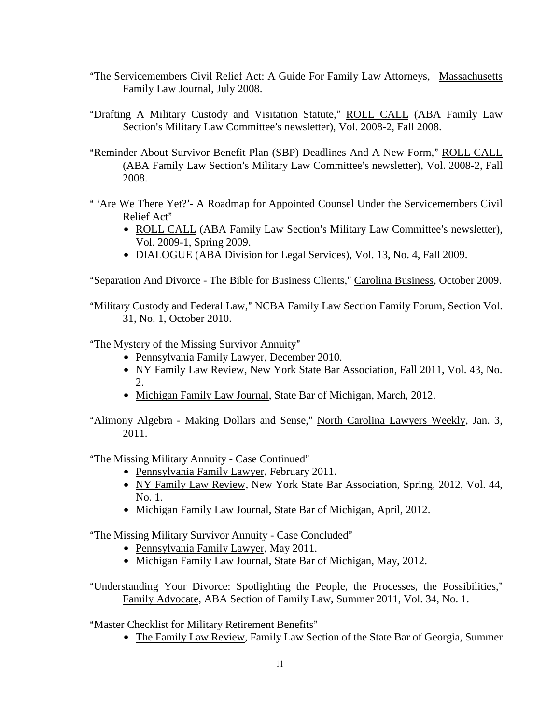- "The Servicemembers Civil Relief Act: A Guide For Family Law Attorneys, Massachusetts Family Law Journal, July 2008.
- "Drafting A Military Custody and Visitation Statute," ROLL CALL (ABA Family Law Section's Military Law Committee's newsletter), Vol. 2008-2, Fall 2008.
- "Reminder About Survivor Benefit Plan (SBP) Deadlines And A New Form," ROLL CALL (ABA Family Law Section's Military Law Committee's newsletter), Vol. 2008-2, Fall 2008.
- " 'Are We There Yet?'- A Roadmap for Appointed Counsel Under the Servicemembers Civil Relief Act"
	- ROLL CALL (ABA Family Law Section's Military Law Committee's newsletter), Vol. 2009-1, Spring 2009.
	- DIALOGUE (ABA Division for Legal Services), Vol. 13, No. 4, Fall 2009.

"Separation And Divorce - The Bible for Business Clients," Carolina Business, October 2009.

"Military Custody and Federal Law," NCBA Family Law Section Family Forum, Section Vol. 31, No. 1, October 2010.

"The Mystery of the Missing Survivor Annuity"

- Pennsylvania Family Lawyer, December 2010.
- NY Family Law Review, New York State Bar Association, Fall 2011, Vol. 43, No.  $\mathcal{D}$
- Michigan Family Law Journal, State Bar of Michigan, March, 2012.
- "Alimony Algebra Making Dollars and Sense," North Carolina Lawyers Weekly, Jan. 3, 2011.

"The Missing Military Annuity - Case Continued"

- Pennsylvania Family Lawyer, February 2011.
- NY Family Law Review, New York State Bar Association, Spring, 2012, Vol. 44, No. 1.
- Michigan Family Law Journal, State Bar of Michigan, April, 2012.

"The Missing Military Survivor Annuity - Case Concluded"

- Pennsylvania Family Lawyer, May 2011.
- Michigan Family Law Journal, State Bar of Michigan, May, 2012.
- "Understanding Your Divorce: Spotlighting the People, the Processes, the Possibilities," Family Advocate, ABA Section of Family Law, Summer 2011, Vol. 34, No. 1.

"Master Checklist for Military Retirement Benefits"

• The Family Law Review, Family Law Section of the State Bar of Georgia, Summer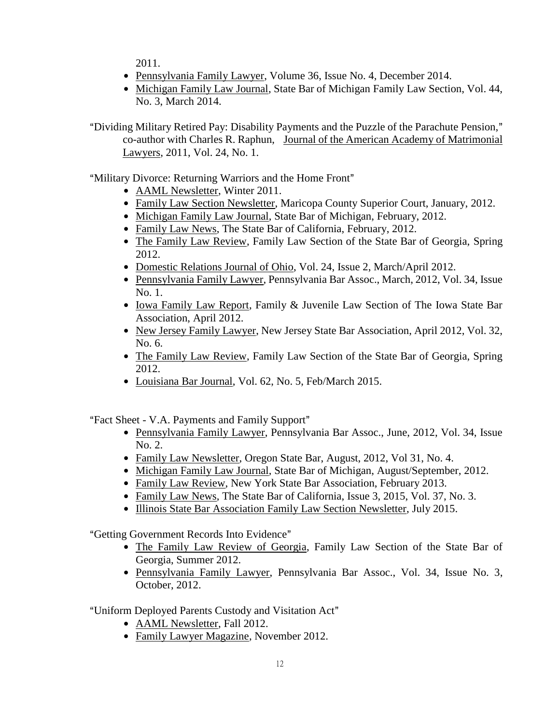2011.

- Pennsylvania Family Lawyer, Volume 36, Issue No. 4, December 2014.
- Michigan Family Law Journal, State Bar of Michigan Family Law Section, Vol. 44, No. 3, March 2014.

"Dividing Military Retired Pay: Disability Payments and the Puzzle of the Parachute Pension," co-author with Charles R. Raphun, Journal of the American Academy of Matrimonial Lawyers, 2011, Vol. 24, No. 1.

"Military Divorce: Returning Warriors and the Home Front"

- AAML Newsletter, Winter 2011.
- Family Law Section Newsletter, Maricopa County Superior Court, January, 2012.
- Michigan Family Law Journal, State Bar of Michigan, February, 2012.
- Family Law News, The State Bar of California, February, 2012.
- The Family Law Review, Family Law Section of the State Bar of Georgia, Spring 2012.
- Domestic Relations Journal of Ohio, Vol. 24, Issue 2, March/April 2012.
- Pennsylvania Family Lawyer, Pennsylvania Bar Assoc., March, 2012, Vol. 34, Issue No. 1.
- Iowa Family Law Report, Family & Juvenile Law Section of The Iowa State Bar Association, April 2012.
- New Jersey Family Lawyer, New Jersey State Bar Association, April 2012, Vol. 32, No. 6.
- The Family Law Review, Family Law Section of the State Bar of Georgia, Spring 2012.
- $\bullet$  Louisiana Bar Journal, Vol. 62, No. 5, Feb/March 2015.

"Fact Sheet - V.A. Payments and Family Support"

- Pennsylvania Family Lawyer, Pennsylvania Bar Assoc., June, 2012, Vol. 34, Issue No. 2.
- Family Law Newsletter, Oregon State Bar, August, 2012, Vol 31, No. 4.
- Michigan Family Law Journal, State Bar of Michigan, August/September, 2012.
- Family Law Review, New York State Bar Association, February 2013.
- Family Law News, The State Bar of California, Issue 3, 2015, Vol. 37, No. 3.
- Illinois State Bar Association Family Law Section Newsletter, July 2015.

"Getting Government Records Into Evidence"

- The Family Law Review of Georgia, Family Law Section of the State Bar of Georgia, Summer 2012.
- Pennsylvania Family Lawyer, Pennsylvania Bar Assoc., Vol. 34, Issue No. 3, October, 2012.

"Uniform Deployed Parents Custody and Visitation Act"

- AAML Newsletter, Fall 2012.
- Family Lawyer Magazine, November 2012.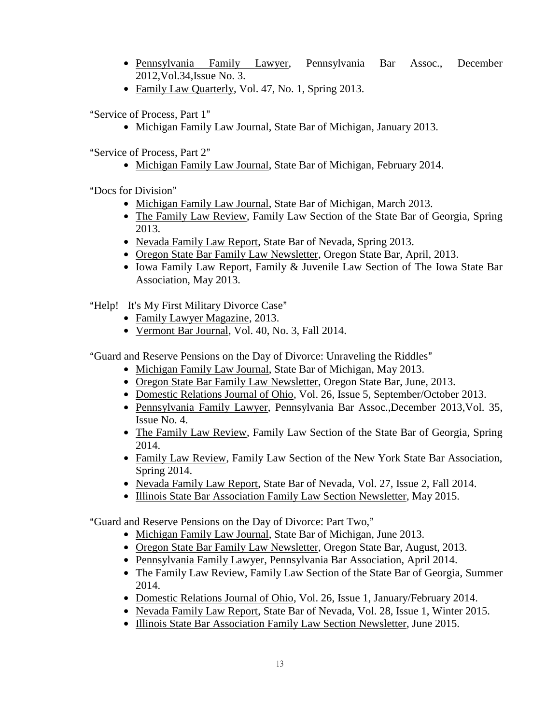- \$ Pennsylvania Family Lawyer, Pennsylvania Bar Assoc., December 2012,Vol.34,Issue No. 3.
- Family Law Quarterly, Vol. 47, No. 1, Spring 2013.

"Service of Process, Part 1"

• Michigan Family Law Journal, State Bar of Michigan, January 2013.

"Service of Process, Part 2"

• Michigan Family Law Journal, State Bar of Michigan, February 2014.

"Docs for Division"

- Michigan Family Law Journal, State Bar of Michigan, March 2013.
- The Family Law Review, Family Law Section of the State Bar of Georgia, Spring 2013.
- Nevada Family Law Report, State Bar of Nevada, Spring 2013.
- Oregon State Bar Family Law Newsletter, Oregon State Bar, April, 2013.
- Iowa Family Law Report, Family & Juvenile Law Section of The Iowa State Bar Association, May 2013.

"Help! It's My First Military Divorce Case"

- Family Lawyer Magazine, 2013.
- Vermont Bar Journal, Vol. 40, No. 3, Fall 2014.

"Guard and Reserve Pensions on the Day of Divorce: Unraveling the Riddles"

- Michigan Family Law Journal, State Bar of Michigan, May 2013.
- Oregon State Bar Family Law Newsletter, Oregon State Bar, June, 2013.
- Domestic Relations Journal of Ohio, Vol. 26, Issue 5, September/October 2013.
- \$ Pennsylvania Family Lawyer, Pennsylvania Bar Assoc.,December 2013,Vol. 35, Issue No. 4.
- The Family Law Review, Family Law Section of the State Bar of Georgia, Spring 2014.
- Family Law Review, Family Law Section of the New York State Bar Association, Spring 2014.
- Nevada Family Law Report, State Bar of Nevada, Vol. 27, Issue 2, Fall 2014.
- Illinois State Bar Association Family Law Section Newsletter, May 2015.

"Guard and Reserve Pensions on the Day of Divorce: Part Two,"

- Michigan Family Law Journal, State Bar of Michigan, June 2013.
- Oregon State Bar Family Law Newsletter, Oregon State Bar, August, 2013.
- Pennsylvania Family Lawyer, Pennsylvania Bar Association, April 2014.
- The Family Law Review, Family Law Section of the State Bar of Georgia, Summer 2014.
- Domestic Relations Journal of Ohio, Vol. 26, Issue 1, January/February 2014.
- Nevada Family Law Report, State Bar of Nevada, Vol. 28, Issue 1, Winter 2015.
- Illinois State Bar Association Family Law Section Newsletter, June 2015.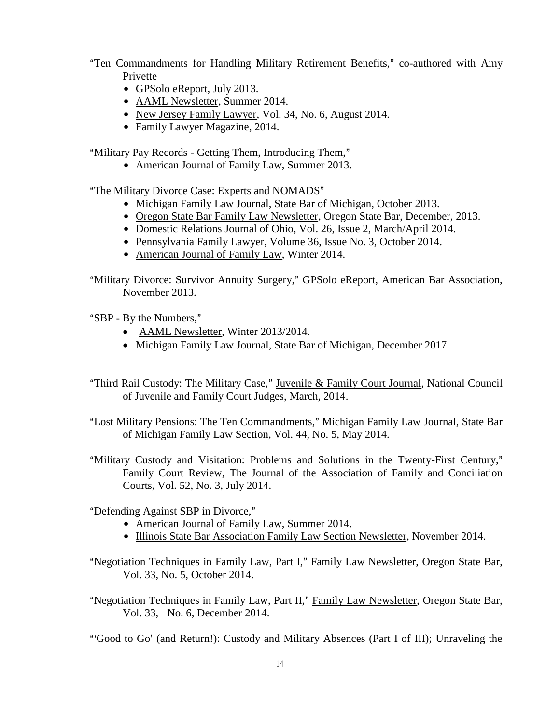- "Ten Commandments for Handling Military Retirement Benefits," co-authored with Amy Privette
	- $\bullet$  GPSolo eReport, July 2013.
	- AAML Newsletter, Summer 2014.
	- New Jersey Family Lawyer, Vol. 34, No. 6, August 2014.
	- Family Lawyer Magazine, 2014.

"Military Pay Records - Getting Them, Introducing Them,"

• American Journal of Family Law, Summer 2013.

"The Military Divorce Case: Experts and NOMADS"

- Michigan Family Law Journal, State Bar of Michigan, October 2013.
- Oregon State Bar Family Law Newsletter, Oregon State Bar, December, 2013.
- Domestic Relations Journal of Ohio, Vol. 26, Issue 2, March/April 2014.
- Pennsylvania Family Lawyer, Volume 36, Issue No. 3, October 2014.
- American Journal of Family Law, Winter 2014.
- "Military Divorce: Survivor Annuity Surgery," GPSolo eReport, American Bar Association, November 2013.
- "SBP By the Numbers,"
	- AAML Newsletter, Winter 2013/2014.
	- Michigan Family Law Journal, State Bar of Michigan, December 2017.
- "Third Rail Custody: The Military Case," Juvenile & Family Court Journal, National Council of Juvenile and Family Court Judges, March, 2014.
- "Lost Military Pensions: The Ten Commandments," Michigan Family Law Journal, State Bar of Michigan Family Law Section, Vol. 44, No. 5, May 2014.
- "Military Custody and Visitation: Problems and Solutions in the Twenty-First Century," Family Court Review, The Journal of the Association of Family and Conciliation Courts, Vol. 52, No. 3, July 2014.

"Defending Against SBP in Divorce,"

- American Journal of Family Law, Summer 2014.
- Illinois State Bar Association Family Law Section Newsletter, November 2014.
- "Negotiation Techniques in Family Law, Part I," Family Law Newsletter, Oregon State Bar, Vol. 33, No. 5, October 2014.
- "Negotiation Techniques in Family Law, Part II," Family Law Newsletter, Oregon State Bar, Vol. 33, No. 6, December 2014.

"Good to Go' (and Return!): Custody and Military Absences (Part I of III); Unraveling the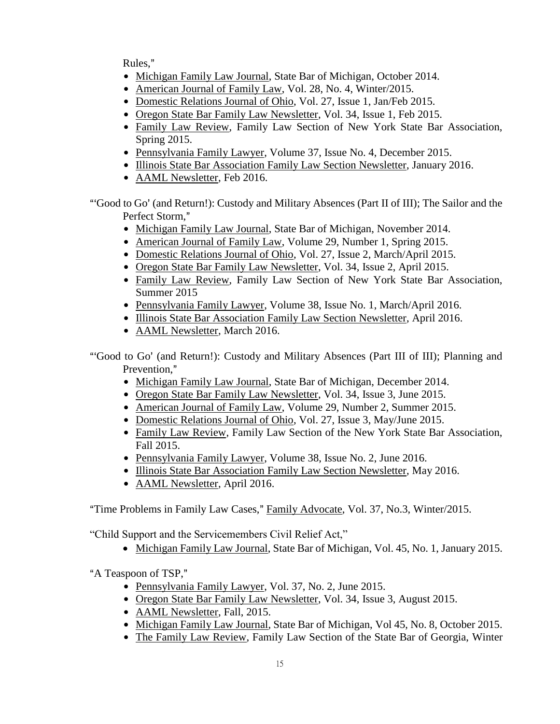Rules."

- Michigan Family Law Journal, State Bar of Michigan, October 2014.
- American Journal of Family Law, Vol. 28, No. 4, Winter/2015.
- Domestic Relations Journal of Ohio, Vol. 27, Issue 1, Jan/Feb 2015.
- Oregon State Bar Family Law Newsletter, Vol. 34, Issue 1, Feb 2015.
- Family Law Review, Family Law Section of New York State Bar Association, Spring 2015.
- Pennsylvania Family Lawyer, Volume 37, Issue No. 4, December 2015.
- Illinois State Bar Association Family Law Section Newsletter, January 2016.
- AAML Newsletter, Feb 2016.
- "Good to Go' (and Return!): Custody and Military Absences (Part II of III); The Sailor and the Perfect Storm,"
	- Michigan Family Law Journal, State Bar of Michigan, November 2014.
	- American Journal of Family Law, Volume 29, Number 1, Spring 2015.
	- Domestic Relations Journal of Ohio, Vol. 27, Issue 2, March/April 2015.
	- Oregon State Bar Family Law Newsletter, Vol. 34, Issue 2, April 2015.
	- Family Law Review, Family Law Section of New York State Bar Association, Summer 2015
	- Pennsylvania Family Lawyer, Volume 38, Issue No. 1, March/April 2016.
	- Illinois State Bar Association Family Law Section Newsletter, April 2016.
	- AAML Newsletter, March 2016.

"Good to Go' (and Return!): Custody and Military Absences (Part III of III); Planning and Prevention."

- Michigan Family Law Journal, State Bar of Michigan, December 2014.
- Oregon State Bar Family Law Newsletter, Vol. 34, Issue 3, June 2015.
- American Journal of Family Law, Volume 29, Number 2, Summer 2015.
- Domestic Relations Journal of Ohio, Vol. 27, Issue 3, May/June 2015.
- Family Law Review, Family Law Section of the New York State Bar Association, Fall 2015.
- Pennsylvania Family Lawyer, Volume 38, Issue No. 2, June 2016.
- Illinois State Bar Association Family Law Section Newsletter, May 2016.
- AAML Newsletter, April 2016.

"Time Problems in Family Law Cases," Family Advocate, Vol. 37, No.3, Winter/2015.

"Child Support and the Servicemembers Civil Relief Act,"

• Michigan Family Law Journal, State Bar of Michigan, Vol. 45, No. 1, January 2015.

"A Teaspoon of TSP,"

- Pennsylvania Family Lawyer, Vol. 37, No. 2, June 2015.
- Oregon State Bar Family Law Newsletter, Vol. 34, Issue 3, August 2015.
- AAML Newsletter, Fall, 2015.
- Michigan Family Law Journal, State Bar of Michigan, Vol 45, No. 8, October 2015.
- The Family Law Review, Family Law Section of the State Bar of Georgia, Winter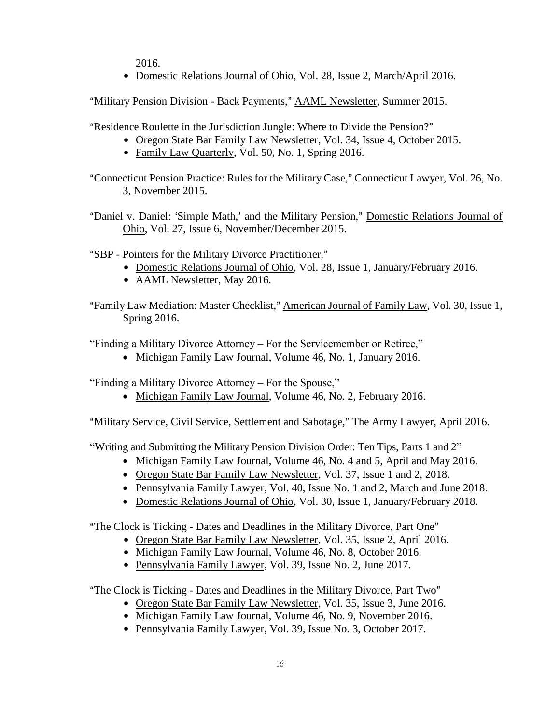2016.

• Domestic Relations Journal of Ohio, Vol. 28, Issue 2, March/April 2016.

"Military Pension Division - Back Payments," AAML Newsletter, Summer 2015.

"Residence Roulette in the Jurisdiction Jungle: Where to Divide the Pension?"

- Oregon State Bar Family Law Newsletter, Vol. 34, Issue 4, October 2015.
	- Family Law Quarterly, Vol. 50, No. 1, Spring 2016.
- "Connecticut Pension Practice: Rules for the Military Case," Connecticut Lawyer, Vol. 26, No. 3, November 2015.
- "Daniel v. Daniel: 'Simple Math,' and the Military Pension," Domestic Relations Journal of Ohio, Vol. 27, Issue 6, November/December 2015.
- "SBP Pointers for the Military Divorce Practitioner,"
	- Domestic Relations Journal of Ohio, Vol. 28, Issue 1, January/February 2016.
	- AAML Newsletter, May 2016.

"Family Law Mediation: Master Checklist," American Journal of Family Law, Vol. 30, Issue 1, Spring 2016.

"Finding a Military Divorce Attorney – For the Servicemember or Retiree,"

• Michigan Family Law Journal, Volume 46, No. 1, January 2016.

"Finding a Military Divorce Attorney – For the Spouse,"

• Michigan Family Law Journal, Volume 46, No. 2, February 2016.

"Military Service, Civil Service, Settlement and Sabotage," The Army Lawyer, April 2016.

"Writing and Submitting the Military Pension Division Order: Ten Tips, Parts 1 and 2"

- Michigan Family Law Journal, Volume 46, No. 4 and 5, April and May 2016.
- Oregon State Bar Family Law Newsletter, Vol. 37, Issue 1 and 2, 2018.
- Pennsylvania Family Lawyer, Vol. 40, Issue No. 1 and 2, March and June 2018.
- Domestic Relations Journal of Ohio, Vol. 30, Issue 1, January/February 2018.

"The Clock is Ticking - Dates and Deadlines in the Military Divorce, Part One"

- Oregon State Bar Family Law Newsletter, Vol. 35, Issue 2, April 2016.
- Michigan Family Law Journal, Volume 46, No. 8, October 2016.
- Pennsylvania Family Lawyer, Vol. 39, Issue No. 2, June 2017.

"The Clock is Ticking - Dates and Deadlines in the Military Divorce, Part Two"

- Oregon State Bar Family Law Newsletter, Vol. 35, Issue 3, June 2016.
- Michigan Family Law Journal, Volume 46, No. 9, November 2016.
- Pennsylvania Family Lawyer, Vol. 39, Issue No. 3, October 2017.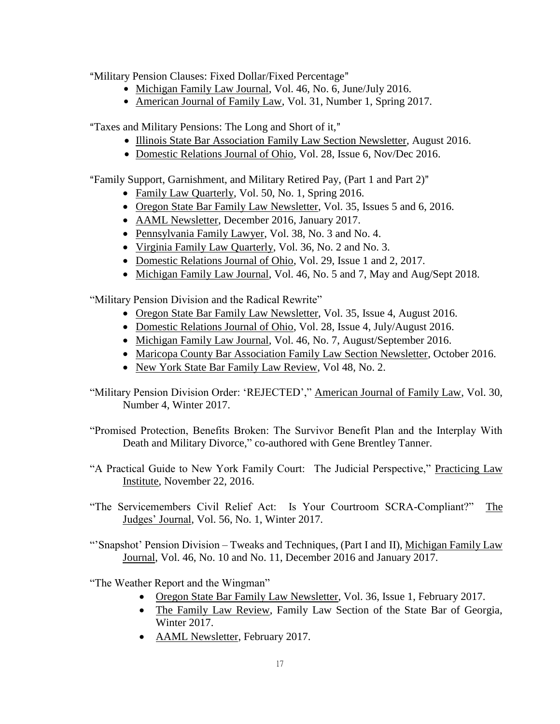"Military Pension Clauses: Fixed Dollar/Fixed Percentage"

- Michigan Family Law Journal, Vol. 46, No. 6, June/July 2016.
- American Journal of Family Law, Vol. 31, Number 1, Spring 2017.

"Taxes and Military Pensions: The Long and Short of it,"

- Illinois State Bar Association Family Law Section Newsletter, August 2016.
- Domestic Relations Journal of Ohio, Vol. 28, Issue 6, Nov/Dec 2016.

"Family Support, Garnishment, and Military Retired Pay, (Part 1 and Part 2)"

- Family Law Quarterly, Vol. 50, No. 1, Spring 2016.
- Oregon State Bar Family Law Newsletter, Vol. 35, Issues 5 and 6, 2016.
- AAML Newsletter, December 2016, January 2017.
- Pennsylvania Family Lawyer, Vol. 38, No. 3 and No. 4.
- Virginia Family Law Quarterly, Vol. 36, No. 2 and No. 3.
- Domestic Relations Journal of Ohio, Vol. 29, Issue 1 and 2, 2017.
- Michigan Family Law Journal, Vol. 46, No. 5 and 7, May and Aug/Sept 2018.

"Military Pension Division and the Radical Rewrite"

- Oregon State Bar Family Law Newsletter, Vol. 35, Issue 4, August 2016.
- Domestic Relations Journal of Ohio, Vol. 28, Issue 4, July/August 2016.
- Michigan Family Law Journal, Vol. 46, No. 7, August/September 2016.
- Maricopa County Bar Association Family Law Section Newsletter, October 2016.
- New York State Bar Family Law Review, Vol 48, No. 2.
- "Military Pension Division Order: 'REJECTED'," American Journal of Family Law, Vol. 30, Number 4, Winter 2017.
- "Promised Protection, Benefits Broken: The Survivor Benefit Plan and the Interplay With Death and Military Divorce," co-authored with Gene Brentley Tanner.
- "A Practical Guide to New York Family Court: The Judicial Perspective," Practicing Law Institute, November 22, 2016.
- "The Servicemembers Civil Relief Act: Is Your Courtroom SCRA-Compliant?" The Judges' Journal, Vol. 56, No. 1, Winter 2017.
- "'Snapshot' Pension Division Tweaks and Techniques, (Part I and II), Michigan Family Law Journal, Vol. 46, No. 10 and No. 11, December 2016 and January 2017.

"The Weather Report and the Wingman"

- Oregon State Bar Family Law Newsletter, Vol. 36, Issue 1, February 2017.
- The Family Law Review, Family Law Section of the State Bar of Georgia, Winter 2017.
- AAML Newsletter, February 2017.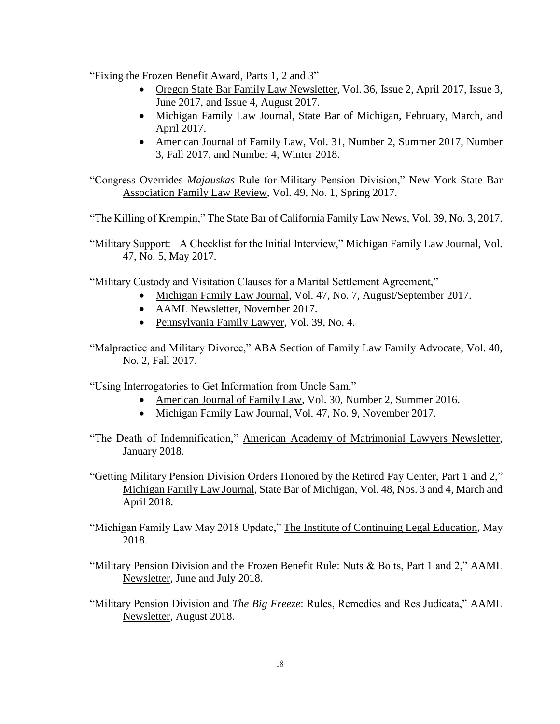"Fixing the Frozen Benefit Award, Parts 1, 2 and 3"

- Oregon State Bar Family Law Newsletter, Vol. 36, Issue 2, April 2017, Issue 3, June 2017, and Issue 4, August 2017.
- Michigan Family Law Journal, State Bar of Michigan, February, March, and April 2017.
- American Journal of Family Law, Vol. 31, Number 2, Summer 2017, Number 3, Fall 2017, and Number 4, Winter 2018.

"Congress Overrides *Majauskas* Rule for Military Pension Division," New York State Bar Association Family Law Review, Vol. 49, No. 1, Spring 2017.

"The Killing of Krempin," The State Bar of California Family Law News, Vol. 39, No. 3, 2017.

"Military Support: A Checklist for the Initial Interview," Michigan Family Law Journal, Vol. 47, No. 5, May 2017.

"Military Custody and Visitation Clauses for a Marital Settlement Agreement,"

- Michigan Family Law Journal, Vol. 47, No. 7, August/September 2017.
- AAML Newsletter, November 2017.
- Pennsylvania Family Lawyer, Vol. 39, No. 4.
- "Malpractice and Military Divorce," ABA Section of Family Law Family Advocate, Vol. 40, No. 2, Fall 2017.

"Using Interrogatories to Get Information from Uncle Sam,"

- American Journal of Family Law, Vol. 30, Number 2, Summer 2016.
- Michigan Family Law Journal, Vol. 47, No. 9, November 2017.
- "The Death of Indemnification," American Academy of Matrimonial Lawyers Newsletter, January 2018.
- "Getting Military Pension Division Orders Honored by the Retired Pay Center, Part 1 and 2," Michigan Family Law Journal, State Bar of Michigan, Vol. 48, Nos. 3 and 4, March and April 2018.
- "Michigan Family Law May 2018 Update," The Institute of Continuing Legal Education, May 2018.
- "Military Pension Division and the Frozen Benefit Rule: Nuts & Bolts, Part 1 and 2," AAML Newsletter, June and July 2018.
- "Military Pension Division and *The Big Freeze*: Rules, Remedies and Res Judicata," AAML Newsletter, August 2018.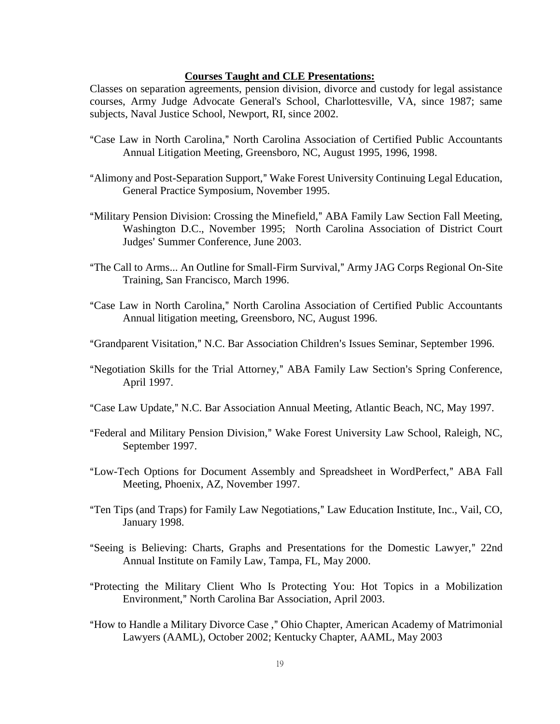#### **Courses Taught and CLE Presentations:**

Classes on separation agreements, pension division, divorce and custody for legal assistance courses, Army Judge Advocate General's School, Charlottesville, VA, since 1987; same subjects, Naval Justice School, Newport, RI, since 2002.

- "Case Law in North Carolina," North Carolina Association of Certified Public Accountants Annual Litigation Meeting, Greensboro, NC, August 1995, 1996, 1998.
- "Alimony and Post-Separation Support," Wake Forest University Continuing Legal Education, General Practice Symposium, November 1995.
- "Military Pension Division: Crossing the Minefield," ABA Family Law Section Fall Meeting, Washington D.C., November 1995; North Carolina Association of District Court Judges' Summer Conference, June 2003.
- "The Call to Arms... An Outline for Small-Firm Survival," Army JAG Corps Regional On-Site Training, San Francisco, March 1996.
- "Case Law in North Carolina," North Carolina Association of Certified Public Accountants Annual litigation meeting, Greensboro, NC, August 1996.
- "Grandparent Visitation," N.C. Bar Association Children's Issues Seminar, September 1996.
- "Negotiation Skills for the Trial Attorney," ABA Family Law Section's Spring Conference, April 1997.
- "Case Law Update," N.C. Bar Association Annual Meeting, Atlantic Beach, NC, May 1997.
- "Federal and Military Pension Division," Wake Forest University Law School, Raleigh, NC, September 1997.
- "Low-Tech Options for Document Assembly and Spreadsheet in WordPerfect," ABA Fall Meeting, Phoenix, AZ, November 1997.
- "Ten Tips (and Traps) for Family Law Negotiations," Law Education Institute, Inc., Vail, CO, January 1998.
- "Seeing is Believing: Charts, Graphs and Presentations for the Domestic Lawyer," 22nd Annual Institute on Family Law, Tampa, FL, May 2000.
- "Protecting the Military Client Who Is Protecting You: Hot Topics in a Mobilization Environment," North Carolina Bar Association, April 2003.
- "How to Handle a Military Divorce Case," Ohio Chapter, American Academy of Matrimonial Lawyers (AAML), October 2002; Kentucky Chapter, AAML, May 2003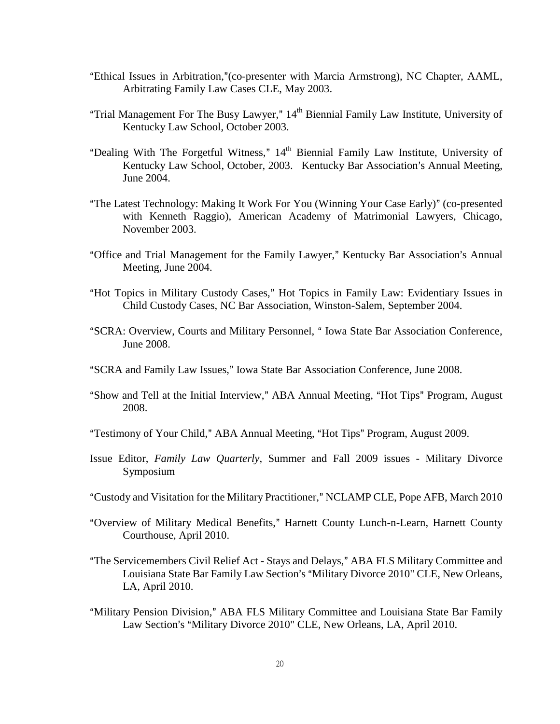- "Ethical Issues in Arbitration," (co-presenter with Marcia Armstrong), NC Chapter, AAML, Arbitrating Family Law Cases CLE, May 2003.
- "Trial Management For The Busy Lawyer,"  $14<sup>th</sup>$  Biennial Family Law Institute, University of Kentucky Law School, October 2003.
- "Dealing With The Forgetful Witness,"  $14<sup>th</sup>$  Biennial Family Law Institute, University of Kentucky Law School, October, 2003. Kentucky Bar Association's Annual Meeting, June 2004.
- "The Latest Technology: Making It Work For You (Winning Your Case Early)" (co-presented with Kenneth Raggio), American Academy of Matrimonial Lawyers, Chicago, November 2003.
- "Office and Trial Management for the Family Lawyer," Kentucky Bar Association's Annual Meeting, June 2004.
- "Hot Topics in Military Custody Cases," Hot Topics in Family Law: Evidentiary Issues in Child Custody Cases, NC Bar Association, Winston-Salem, September 2004.
- "SCRA: Overview, Courts and Military Personnel, "Iowa State Bar Association Conference, June 2008.
- "SCRA and Family Law Issues," Iowa State Bar Association Conference, June 2008.
- "Show and Tell at the Initial Interview," ABA Annual Meeting, "Hot Tips" Program, August 2008.
- "Testimony of Your Child," ABA Annual Meeting, "Hot Tips" Program, August 2009.
- Issue Editor, *Family Law Quarterly*, Summer and Fall 2009 issues Military Divorce Symposium
- "Custody and Visitation for the Military Practitioner," NCLAMP CLE, Pope AFB, March 2010
- "Overview of Military Medical Benefits," Harnett County Lunch-n-Learn, Harnett County Courthouse, April 2010.
- "The Servicemembers Civil Relief Act Stays and Delays," ABA FLS Military Committee and Louisiana State Bar Family Law Section's "Military Divorce 2010" CLE, New Orleans, LA, April 2010.
- "Military Pension Division," ABA FLS Military Committee and Louisiana State Bar Family Law Section's "Military Divorce 2010" CLE, New Orleans, LA, April 2010.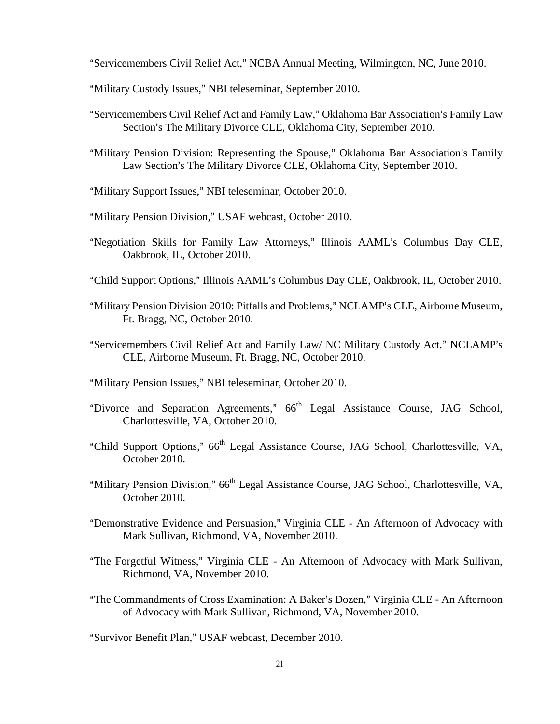"Servicemembers Civil Relief Act," NCBA Annual Meeting, Wilmington, NC, June 2010.

- "Military Custody Issues," NBI teleseminar, September 2010.
- "Servicemembers Civil Relief Act and Family Law," Oklahoma Bar Association's Family Law Section's The Military Divorce CLE, Oklahoma City, September 2010.
- "Military Pension Division: Representing the Spouse," Oklahoma Bar Association's Family Law Section's The Military Divorce CLE, Oklahoma City, September 2010.
- "Military Support Issues," NBI teleseminar, October 2010.
- "Military Pension Division," USAF webcast, October 2010.
- "Negotiation Skills for Family Law Attorneys," Illinois AAML's Columbus Day CLE, Oakbrook, IL, October 2010.
- "Child Support Options," Illinois AAML's Columbus Day CLE, Oakbrook, IL, October 2010.
- "Military Pension Division 2010: Pitfalls and Problems," NCLAMP's CLE, Airborne Museum, Ft. Bragg, NC, October 2010.
- "Servicemembers Civil Relief Act and Family Law/ NC Military Custody Act," NCLAMP's CLE, Airborne Museum, Ft. Bragg, NC, October 2010.
- "Military Pension Issues," NBI teleseminar, October 2010.
- "Divorce and Separation Agreements,"  $66<sup>th</sup>$  Legal Assistance Course, JAG School, Charlottesville, VA, October 2010.
- "Child Support Options," 66<sup>th</sup> Legal Assistance Course, JAG School, Charlottesville, VA, October 2010.
- "Military Pension Division," 66<sup>th</sup> Legal Assistance Course, JAG School, Charlottesville, VA, October 2010.
- "Demonstrative Evidence and Persuasion," Virginia CLE An Afternoon of Advocacy with Mark Sullivan, Richmond, VA, November 2010.
- "The Forgetful Witness," Virginia CLE An Afternoon of Advocacy with Mark Sullivan, Richmond, VA, November 2010.
- "The Commandments of Cross Examination: A Baker's Dozen," Virginia CLE An Afternoon of Advocacy with Mark Sullivan, Richmond, VA, November 2010.

"Survivor Benefit Plan," USAF webcast, December 2010.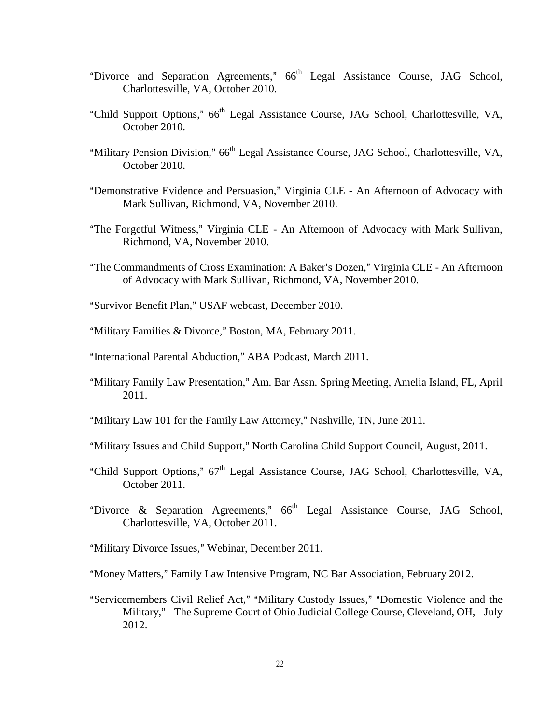- "Divorce and Separation Agreements,"  $66<sup>th</sup>$  Legal Assistance Course, JAG School, Charlottesville, VA, October 2010.
- "Child Support Options," 66<sup>th</sup> Legal Assistance Course, JAG School, Charlottesville, VA, October 2010.
- "Military Pension Division," 66<sup>th</sup> Legal Assistance Course, JAG School, Charlottesville, VA, October 2010.
- "Demonstrative Evidence and Persuasion," Virginia CLE An Afternoon of Advocacy with Mark Sullivan, Richmond, VA, November 2010.
- "The Forgetful Witness," Virginia CLE An Afternoon of Advocacy with Mark Sullivan, Richmond, VA, November 2010.
- "The Commandments of Cross Examination: A Baker's Dozen," Virginia CLE An Afternoon of Advocacy with Mark Sullivan, Richmond, VA, November 2010.
- "Survivor Benefit Plan," USAF webcast, December 2010.
- "Military Families & Divorce," Boston, MA, February 2011.
- "International Parental Abduction," ABA Podcast, March 2011.
- "Military Family Law Presentation," Am. Bar Assn. Spring Meeting, Amelia Island, FL, April 2011.
- "Military Law 101 for the Family Law Attorney," Nashville, TN, June 2011.
- "Military Issues and Child Support," North Carolina Child Support Council, August, 2011.
- "Child Support Options,"  $67<sup>th</sup>$  Legal Assistance Course, JAG School, Charlottesville, VA, October 2011.
- "Divorce & Separation Agreements,"  $66<sup>th</sup>$  Legal Assistance Course, JAG School, Charlottesville, VA, October 2011.
- "Military Divorce Issues," Webinar, December 2011.
- "Money Matters," Family Law Intensive Program, NC Bar Association, February 2012.
- "Servicemembers Civil Relief Act," "Military Custody Issues," "Domestic Violence and the Military," The Supreme Court of Ohio Judicial College Course, Cleveland, OH, July 2012.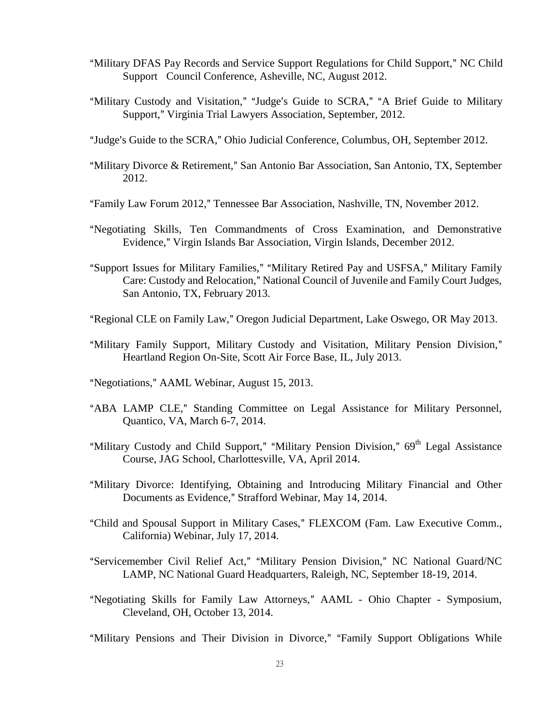- "Military DFAS Pay Records and Service Support Regulations for Child Support," NC Child Support Council Conference, Asheville, NC, August 2012.
- "Military Custody and Visitation," "Judge's Guide to SCRA," "A Brief Guide to Military Support," Virginia Trial Lawyers Association, September, 2012.
- "Judge's Guide to the SCRA," Ohio Judicial Conference, Columbus, OH, September 2012.
- "Military Divorce & Retirement," San Antonio Bar Association, San Antonio, TX, September 2012.
- "Family Law Forum 2012," Tennessee Bar Association, Nashville, TN, November 2012.
- ANegotiating Skills, Ten Commandments of Cross Examination, and Demonstrative Evidence," Virgin Islands Bar Association, Virgin Islands, December 2012.
- "Support Issues for Military Families," "Military Retired Pay and USFSA," Military Family Care: Custody and Relocation," National Council of Juvenile and Family Court Judges, San Antonio, TX, February 2013.
- "Regional CLE on Family Law," Oregon Judicial Department, Lake Oswego, OR May 2013.
- "Military Family Support, Military Custody and Visitation, Military Pension Division," Heartland Region On-Site, Scott Air Force Base, IL, July 2013.
- "Negotiations," AAML Webinar, August 15, 2013.
- "ABA LAMP CLE," Standing Committee on Legal Assistance for Military Personnel, Quantico, VA, March 6-7, 2014.
- "Military Custody and Child Support," "Military Pension Division," 69<sup>th</sup> Legal Assistance Course, JAG School, Charlottesville, VA, April 2014.
- "Military Divorce: Identifying, Obtaining and Introducing Military Financial and Other Documents as Evidence," Strafford Webinar, May 14, 2014.
- "Child and Spousal Support in Military Cases," FLEXCOM (Fam. Law Executive Comm., California) Webinar, July 17, 2014.
- "Servicemember Civil Relief Act," "Military Pension Division," NC National Guard/NC LAMP, NC National Guard Headquarters, Raleigh, NC, September 18-19, 2014.
- "Negotiating Skills for Family Law Attorneys," AAML Ohio Chapter Symposium, Cleveland, OH, October 13, 2014.

"Military Pensions and Their Division in Divorce," "Family Support Obligations While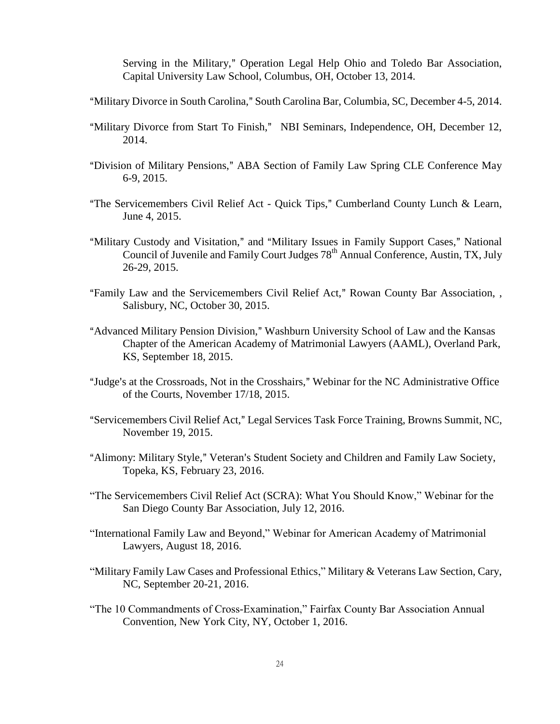Serving in the Military," Operation Legal Help Ohio and Toledo Bar Association, Capital University Law School, Columbus, OH, October 13, 2014.

- "Military Divorce in South Carolina," South Carolina Bar, Columbia, SC, December 4-5, 2014.
- "Military Divorce from Start To Finish," NBI Seminars, Independence, OH, December 12, 2014.
- "Division of Military Pensions," ABA Section of Family Law Spring CLE Conference May 6-9, 2015.
- "The Servicemembers Civil Relief Act Quick Tips," Cumberland County Lunch & Learn, June 4, 2015.
- "Military Custody and Visitation," and "Military Issues in Family Support Cases," National Council of Juvenile and Family Court Judges 78<sup>th</sup> Annual Conference, Austin, TX, July 26-29, 2015.
- "Family Law and the Servicemembers Civil Relief Act," Rowan County Bar Association, , Salisbury, NC, October 30, 2015.
- "Advanced Military Pension Division," Washburn University School of Law and the Kansas Chapter of the American Academy of Matrimonial Lawyers (AAML), Overland Park, KS, September 18, 2015.
- "Judge's at the Crossroads, Not in the Crosshairs," Webinar for the NC Administrative Office of the Courts, November 17/18, 2015.
- "Servicemembers Civil Relief Act," Legal Services Task Force Training, Browns Summit, NC, November 19, 2015.
- "Alimony: Military Style," Veteran's Student Society and Children and Family Law Society, Topeka, KS, February 23, 2016.
- "The Servicemembers Civil Relief Act (SCRA): What You Should Know," Webinar for the San Diego County Bar Association, July 12, 2016.
- "International Family Law and Beyond," Webinar for American Academy of Matrimonial Lawyers, August 18, 2016.
- "Military Family Law Cases and Professional Ethics," Military & Veterans Law Section, Cary, NC, September 20-21, 2016.
- "The 10 Commandments of Cross-Examination," Fairfax County Bar Association Annual Convention, New York City, NY, October 1, 2016.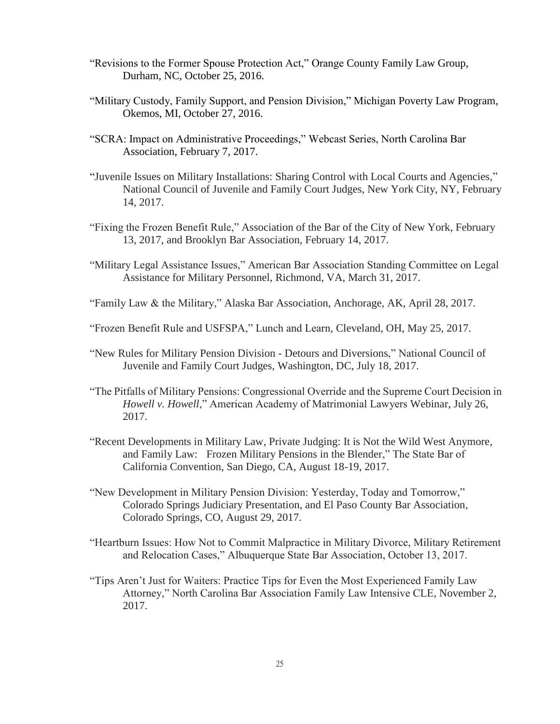- "Revisions to the Former Spouse Protection Act," Orange County Family Law Group, Durham, NC, October 25, 2016.
- "Military Custody, Family Support, and Pension Division," Michigan Poverty Law Program, Okemos, MI, October 27, 2016.
- "SCRA: Impact on Administrative Proceedings," Webcast Series, North Carolina Bar Association, February 7, 2017.
- "Juvenile Issues on Military Installations: Sharing Control with Local Courts and Agencies," National Council of Juvenile and Family Court Judges, New York City, NY, February 14, 2017.
- "Fixing the Frozen Benefit Rule," Association of the Bar of the City of New York, February 13, 2017, and Brooklyn Bar Association, February 14, 2017.
- "Military Legal Assistance Issues," American Bar Association Standing Committee on Legal Assistance for Military Personnel, Richmond, VA, March 31, 2017.
- "Family Law & the Military," Alaska Bar Association, Anchorage, AK, April 28, 2017.
- "Frozen Benefit Rule and USFSPA," Lunch and Learn, Cleveland, OH, May 25, 2017.
- "New Rules for Military Pension Division Detours and Diversions," National Council of Juvenile and Family Court Judges, Washington, DC, July 18, 2017.
- "The Pitfalls of Military Pensions: Congressional Override and the Supreme Court Decision in *Howell v. Howell*," American Academy of Matrimonial Lawyers Webinar, July 26, 2017.
- "Recent Developments in Military Law, Private Judging: It is Not the Wild West Anymore, and Family Law: Frozen Military Pensions in the Blender," The State Bar of California Convention, San Diego, CA, August 18-19, 2017.
- "New Development in Military Pension Division: Yesterday, Today and Tomorrow," Colorado Springs Judiciary Presentation, and El Paso County Bar Association, Colorado Springs, CO, August 29, 2017.
- "Heartburn Issues: How Not to Commit Malpractice in Military Divorce, Military Retirement and Relocation Cases," Albuquerque State Bar Association, October 13, 2017.
- "Tips Aren't Just for Waiters: Practice Tips for Even the Most Experienced Family Law Attorney," North Carolina Bar Association Family Law Intensive CLE, November 2, 2017.